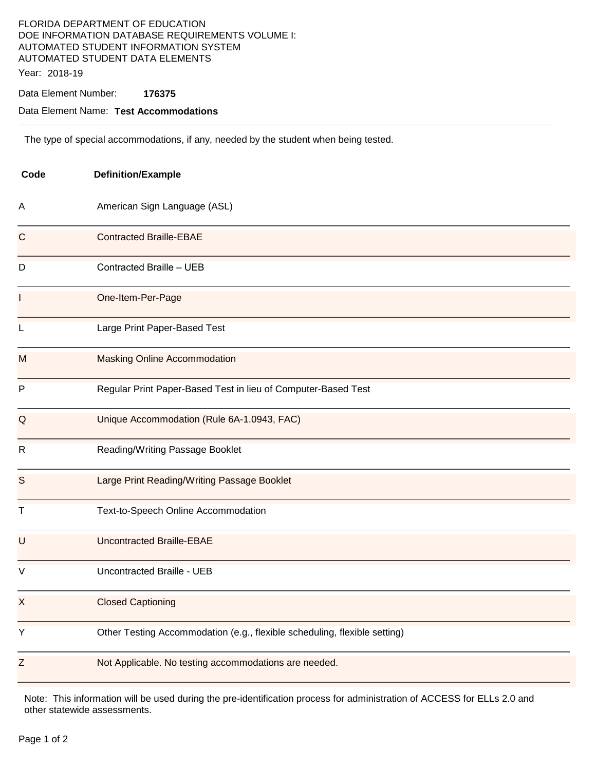### FLORIDA DEPARTMENT OF EDUCATION DOE INFORMATION DATABASE REQUIREMENTS VOLUME I: AUTOMATED STUDENT INFORMATION SYSTEM AUTOMATED STUDENT DATA ELEMENTS Year: 2018-19

Data Element Number: **176375** 

### Data Element Name: **Test Accommodations**

The type of special accommodations, if any, needed by the student when being tested.

| Code        | <b>Definition/Example</b>                                                 |
|-------------|---------------------------------------------------------------------------|
| A           | American Sign Language (ASL)                                              |
| C           | <b>Contracted Braille-EBAE</b>                                            |
| D           | Contracted Braille - UEB                                                  |
| L           | One-Item-Per-Page                                                         |
| L           | Large Print Paper-Based Test                                              |
| M           | <b>Masking Online Accommodation</b>                                       |
| P           | Regular Print Paper-Based Test in lieu of Computer-Based Test             |
| $\mathsf Q$ | Unique Accommodation (Rule 6A-1.0943, FAC)                                |
| R           | Reading/Writing Passage Booklet                                           |
| S           | Large Print Reading/Writing Passage Booklet                               |
| т           | Text-to-Speech Online Accommodation                                       |
| U           | <b>Uncontracted Braille-EBAE</b>                                          |
| $\vee$      | Uncontracted Braille - UEB                                                |
| X           | <b>Closed Captioning</b>                                                  |
| Y           | Other Testing Accommodation (e.g., flexible scheduling, flexible setting) |
| Z           | Not Applicable. No testing accommodations are needed.                     |

Note: This information will be used during the pre-identification process for administration of ACCESS for ELLs 2.0 and other statewide assessments.